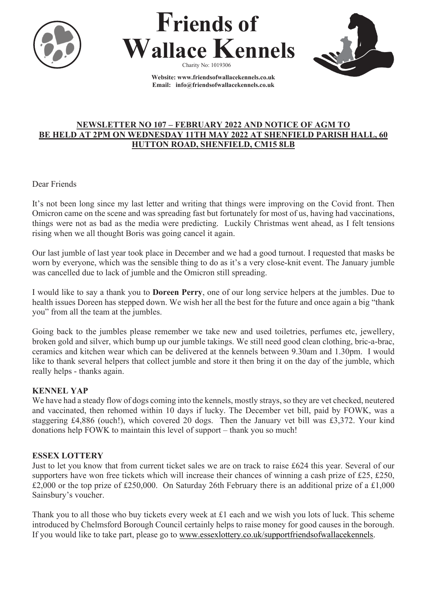





**Website[: www.friendsofwallacekennels.co.uk](about:blank) Email: [info@friendsofwallacekennels.co.uk](about:blank)**

# **NEWSLETTER NO 107 – FEBRUARY 2022 AND NOTICE OF AGM TO BE HELD AT 2PM ON WEDNESDAY 11TH MAY 2022 AT SHENFIELD PARISH HALL, 60 HUTTON ROAD, SHENFIELD, CM15 8LB**

# Dear Friends

It's not been long since my last letter and writing that things were improving on the Covid front. Then Omicron came on the scene and was spreading fast but fortunately for most of us, having had vaccinations, things were not as bad as the media were predicting. Luckily Christmas went ahead, as I felt tensions rising when we all thought Boris was going cancel it again.

Our last jumble of last year took place in December and we had a good turnout. I requested that masks be worn by everyone, which was the sensible thing to do as it's a very close-knit event. The January jumble was cancelled due to lack of jumble and the Omicron still spreading.

I would like to say a thank you to **Doreen Perry**, one of our long service helpers at the jumbles. Due to health issues Doreen has stepped down. We wish her all the best for the future and once again a big "thank you" from all the team at the jumbles.

Going back to the jumbles please remember we take new and used toiletries, perfumes etc, jewellery, broken gold and silver, which bump up our jumble takings. We still need good clean clothing, bric-a-brac, ceramics and kitchen wear which can be delivered at the kennels between 9.30am and 1.30pm. I would like to thank several helpers that collect jumble and store it then bring it on the day of the jumble, which really helps - thanks again.

# **KENNEL YAP**

We have had a steady flow of dogs coming into the kennels, mostly strays, so they are vet checked, neutered and vaccinated, then rehomed within 10 days if lucky. The December vet bill, paid by FOWK, was a staggering £4,886 (ouch!), which covered 20 dogs. Then the January vet bill was £3,372. Your kind donations help FOWK to maintain this level of support – thank you so much!

# **ESSEX LOTTERY**

Just to let you know that from current ticket sales we are on track to raise £624 this year. Several of our supporters have won free tickets which will increase their chances of winning a cash prize of £25, £250, £2,000 or the top prize of £250,000. On Saturday 26th February there is an additional prize of a £1,000 Sainsbury's voucher.

Thank you to all those who buy tickets every week at £1 each and we wish you lots of luck. This scheme introduced by Chelmsford Borough Council certainly helps to raise money for good causes in the borough. If you would like to take part, please go to [www.essexlottery.co.uk/supportfriendsofwallacekennels.](about:blank)